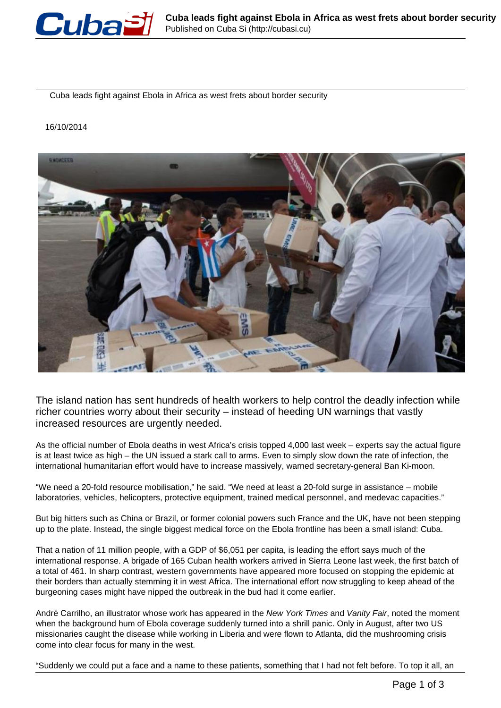

Cuba leads fight against Ebola in Africa as west frets about border security

## 16/10/2014



The island nation has sent hundreds of health workers to help control the deadly infection while richer countries worry about their security – instead of heeding UN warnings that vastly increased resources are urgently needed.

As the official number of Ebola deaths in west Africa's crisis topped 4,000 last week – experts say the actual figure is at least twice as high – the UN issued a stark call to arms. Even to simply slow down the rate of infection, the international humanitarian effort would have to increase massively, warned secretary-general Ban Ki-moon.

"We need a 20-fold resource mobilisation," he said. "We need at least a 20-fold surge in assistance – mobile laboratories, vehicles, helicopters, protective equipment, trained medical personnel, and medevac capacities."

But big hitters such as China or Brazil, or former colonial powers such France and the UK, have not been stepping up to the plate. Instead, the single biggest medical force on the Ebola frontline has been a small island: Cuba.

That a nation of 11 million people, with a GDP of \$6,051 per capita, is leading the effort says much of the international response. A brigade of 165 Cuban health workers arrived in Sierra Leone last week, the first batch of a total of 461. In sharp contrast, western governments have appeared more focused on stopping the epidemic at their borders than actually stemming it in west Africa. The international effort now struggling to keep ahead of the burgeoning cases might have nipped the outbreak in the bud had it come earlier.

André Carrilho, an illustrator whose work has appeared in the New York Times and Vanity Fair, noted the moment when the background hum of Ebola coverage suddenly turned into a shrill panic. Only in August, after two US missionaries caught the disease while working in Liberia and were flown to Atlanta, did the mushrooming crisis come into clear focus for many in the west.

"Suddenly we could put a face and a name to these patients, something that I had not felt before. To top it all, an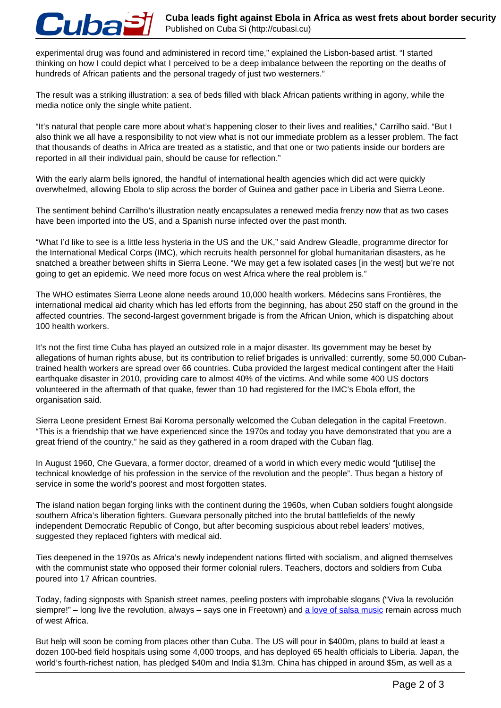experimental drug was found and administered in record time," explained the Lisbon-based artist. "I started thinking on how I could depict what I perceived to be a deep imbalance between the reporting on the deaths of hundreds of African patients and the personal tragedy of just two westerners."

Cuba

The result was a striking illustration: a sea of beds filled with black African patients writhing in agony, while the media notice only the single white patient.

"It's natural that people care more about what's happening closer to their lives and realities," Carrilho said. "But I also think we all have a responsibility to not view what is not our immediate problem as a lesser problem. The fact that thousands of deaths in Africa are treated as a statistic, and that one or two patients inside our borders are reported in all their individual pain, should be cause for reflection."

With the early alarm bells ignored, the handful of international health agencies which did act were quickly overwhelmed, allowing Ebola to slip across the border of Guinea and gather pace in Liberia and Sierra Leone.

The sentiment behind Carrilho's illustration neatly encapsulates a renewed media frenzy now that as two cases have been imported into the US, and a Spanish nurse infected over the past month.

"What I'd like to see is a little less hysteria in the US and the UK," said Andrew Gleadle, programme director for the International Medical Corps (IMC), which recruits health personnel for global humanitarian disasters, as he snatched a breather between shifts in Sierra Leone. "We may get a few isolated cases [in the west] but we're not going to get an epidemic. We need more focus on west Africa where the real problem is."

The WHO estimates Sierra Leone alone needs around 10,000 health workers. Médecins sans Frontières, the international medical aid charity which has led efforts from the beginning, has about 250 staff on the ground in the affected countries. The second-largest government brigade is from the African Union, which is dispatching about 100 health workers.

It's not the first time Cuba has played an outsized role in a major disaster. Its government may be beset by allegations of human rights abuse, but its contribution to relief brigades is unrivalled: currently, some 50,000 Cubantrained health workers are spread over 66 countries. Cuba provided the largest medical contingent after the Haiti earthquake disaster in 2010, providing care to almost 40% of the victims. And while some 400 US doctors volunteered in the aftermath of that quake, fewer than 10 had registered for the IMC's Ebola effort, the organisation said.

Sierra Leone president Ernest Bai Koroma personally welcomed the Cuban delegation in the capital Freetown. "This is a friendship that we have experienced since the 1970s and today you have demonstrated that you are a great friend of the country," he said as they gathered in a room draped with the Cuban flag.

In August 1960, Che Guevara, a former doctor, dreamed of a world in which every medic would "[utilise] the technical knowledge of his profession in the service of the revolution and the people". Thus began a history of service in some the world's poorest and most forgotten states.

The island nation began forging links with the continent during the 1960s, when Cuban soldiers fought alongside southern Africa's liberation fighters. Guevara personally pitched into the brutal battlefields of the newly independent Democratic Republic of Congo, but after becoming suspicious about rebel leaders' motives, suggested they replaced fighters with medical aid.

Ties deepened in the 1970s as Africa's newly independent nations flirted with socialism, and aligned themselves with the communist state who opposed their former colonial rulers. Teachers, doctors and soldiers from Cuba poured into 17 African countries.

Today, fading signposts with Spanish street names, peeling posters with improbable slogans ("Viva la revolución siempre!" – long live the revolution, always – says one in Freetown) and [a love of salsa music](http://www.theguardian.com/world/2012/nov/05/salsa-music-boom-benin-african-roots) remain across much of west Africa.

But help will soon be coming from places other than Cuba. The US will pour in \$400m, plans to build at least a dozen 100-bed field hospitals using some 4,000 troops, and has deployed 65 health officials to Liberia. Japan, the world's fourth-richest nation, has pledged \$40m and India \$13m. China has chipped in around \$5m, as well as a